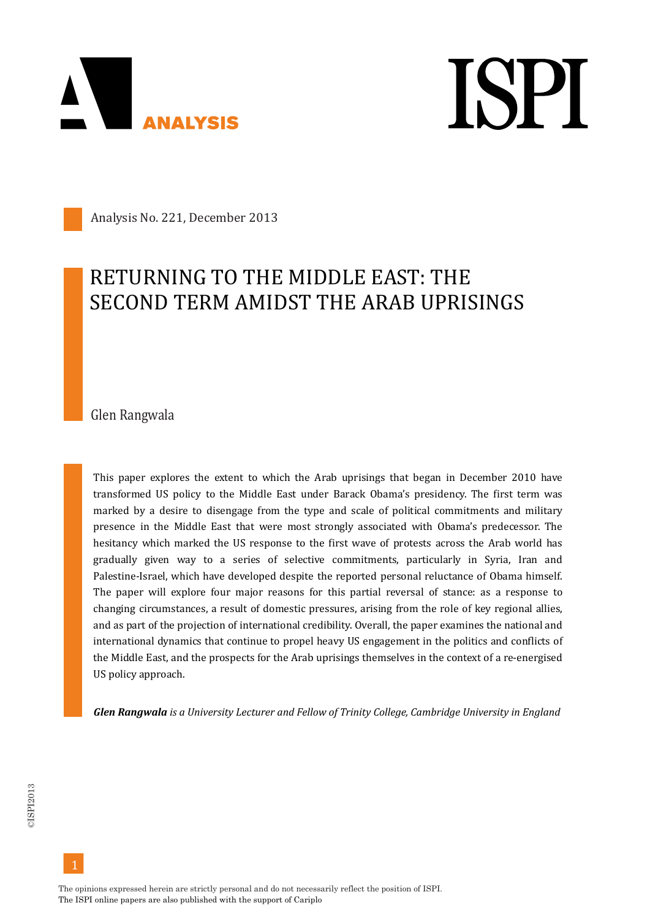

**ISPI** 

Analysis No. 221, December 2013

### RETURNING TO THE MIDDLE EAST: THE SECOND TERM AMIDST THE ARAB UPRISINGS

Glen Rangwala

This paper explores the extent to which the Arab uprisings that began in December 2010 have transformed US policy to the Middle East under Barack Obama's presidency. The first term was marked by a desire to disengage from the type and scale of political commitments and military presence in the Middle East that were most strongly associated with Obama's predecessor. The hesitancy which marked the US response to the first wave of protests across the Arab world has gradually given way to a series of selective commitments, particularly in Syria, Iran and Palestine-Israel, which have developed despite the reported personal reluctance of Obama himself. The paper will explore four major reasons for this partial reversal of stance: as a response to changing circumstances, a result of domestic pressures, arising from the role of key regional allies, and as part of the projection of international credibility. Overall, the paper examines the national and international dynamics that continue to propel heavy US engagement in the politics and conflicts of the Middle East, and the prospects for the Arab uprisings themselves in the context of a re-energised US policy approach.

*Glen Rangwala is a University Lecturer and Fellow of Trinity College, Cambridge University in England*

The opinions expressed herein are strictly personal and do not necessarily reflect the position of ISPI. The ISPI online papers are also published with the support of Cariplo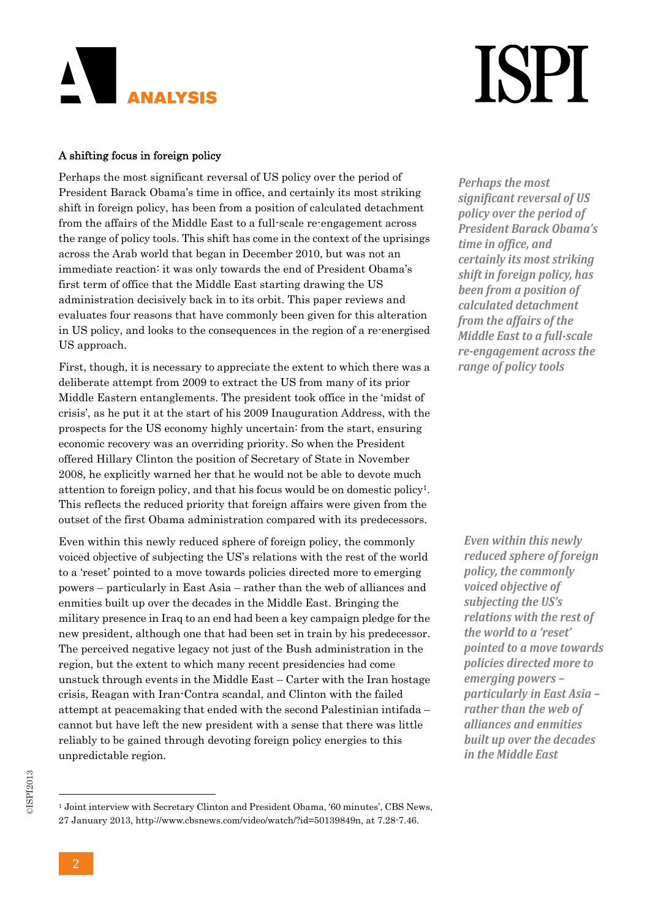### AN I **ANALYSIS**

# **ISPI**

#### A shifting focus in foreign policy

Perhaps the most significant reversal of US policy over the period of President Barack Obama's time in office, and certainly its most striking shift in foreign policy, has been from a position of calculated detachment from the affairs of the Middle East to a full-scale re-engagement across the range of policy tools. This shift has come in the context of the uprisings across the Arab world that began in December 2010, but was not an immediate reaction: it was only towards the end of President Obama's first term of office that the Middle East starting drawing the US administration decisively back in to its orbit. This paper reviews and evaluates four reasons that have commonly been given for this alteration in US policy, and looks to the consequences in the region of a re-energised US approach.

First, though, it is necessary to appreciate the extent to which there was a deliberate attempt from 2009 to extract the US from many of its prior Middle Eastern entanglements. The president took office in the 'midst of crisis', as he put it at the start of his 2009 Inauguration Address, with the prospects for the US economy highly uncertain: from the start, ensuring economic recovery was an overriding priority. So when the President offered Hillary Clinton the position of Secretary of State in November 2008, he explicitly warned her that he would not be able to devote much attention to foreign policy, and that his focus would be on domestic policy1. This reflects the reduced priority that foreign affairs were given from the outset of the first Obama administration compared with its predecessors.

Even within this newly reduced sphere of foreign policy, the commonly voiced objective of subjecting the US's relations with the rest of the world to a 'reset' pointed to a move towards policies directed more to emerging powers – particularly in East Asia – rather than the web of alliances and enmities built up over the decades in the Middle East. Bringing the military presence in Iraq to an end had been a key campaign pledge for the new president, although one that had been set in train by his predecessor. The perceived negative legacy not just of the Bush administration in the region, but the extent to which many recent presidencies had come unstuck through events in the Middle East – Carter with the Iran hostage crisis, Reagan with Iran-Contra scandal, and Clinton with the failed attempt at peacemaking that ended with the second Palestinian intifada – cannot but have left the new president with a sense that there was little reliably to be gained through devoting foreign policy energies to this unpredictable region.

*Perhaps the most significant reversal of US policy over the period of President Barack Obama's time in office, and certainly its most striking shift in foreign policy, has been from a position of calculated detachment from the affairs of the Middle East to a full‐scale re‐engagement across the range of policy tools*

*Even within this newly reduced sphere of foreign policy, the commonly voiced objective of subjecting the US's relations with the rest of the world to a 'reset' pointed to a move towards policies directed more to emerging powers – particularly in East Asia – rather than the web of alliances and enmities built up over the decades in the Middle East*

<sup>1</sup> Joint interview with Secretary Clinton and President Obama, '60 minutes', CBS News, 27 January 2013, http://www.cbsnews.com/video/watch/?id=50139849n, at 7.28-7.46.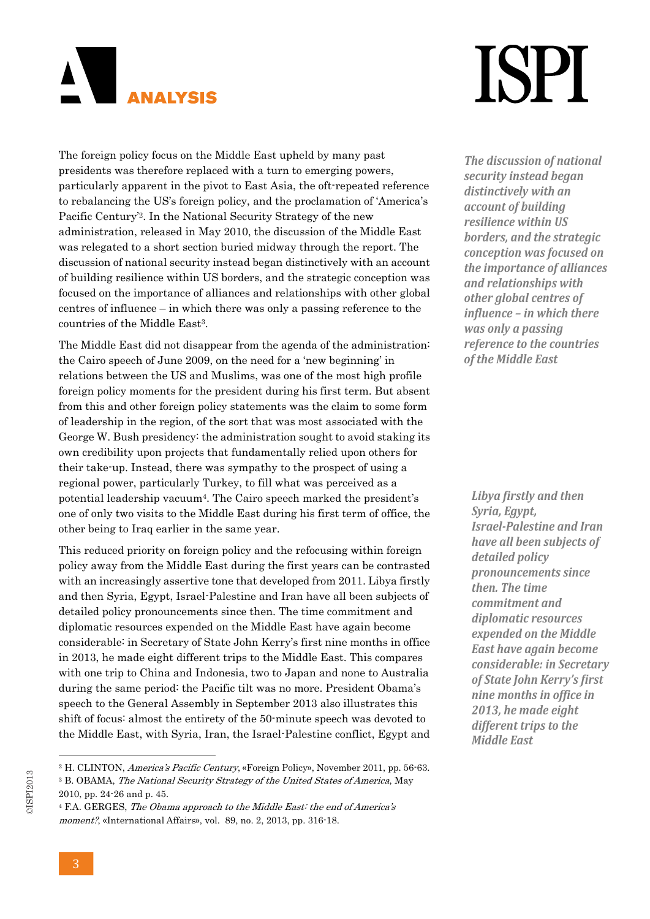

### ISPI

The foreign policy focus on the Middle East upheld by many past presidents was therefore replaced with a turn to emerging powers, particularly apparent in the pivot to East Asia, the oft-repeated reference to rebalancing the US's foreign policy, and the proclamation of 'America's Pacific Century'2. In the National Security Strategy of the new administration, released in May 2010, the discussion of the Middle East was relegated to a short section buried midway through the report. The discussion of national security instead began distinctively with an account of building resilience within US borders, and the strategic conception was focused on the importance of alliances and relationships with other global centres of influence – in which there was only a passing reference to the countries of the Middle East3.

The Middle East did not disappear from the agenda of the administration: the Cairo speech of June 2009, on the need for a 'new beginning' in relations between the US and Muslims, was one of the most high profile foreign policy moments for the president during his first term. But absent from this and other foreign policy statements was the claim to some form of leadership in the region, of the sort that was most associated with the George W. Bush presidency: the administration sought to avoid staking its own credibility upon projects that fundamentally relied upon others for their take-up. Instead, there was sympathy to the prospect of using a regional power, particularly Turkey, to fill what was perceived as a potential leadership vacuum4. The Cairo speech marked the president's one of only two visits to the Middle East during his first term of office, the other being to Iraq earlier in the same year.

This reduced priority on foreign policy and the refocusing within foreign policy away from the Middle East during the first years can be contrasted with an increasingly assertive tone that developed from 2011. Libya firstly and then Syria, Egypt, Israel-Palestine and Iran have all been subjects of detailed policy pronouncements since then. The time commitment and diplomatic resources expended on the Middle East have again become considerable: in Secretary of State John Kerry's first nine months in office in 2013, he made eight different trips to the Middle East. This compares with one trip to China and Indonesia, two to Japan and none to Australia during the same period: the Pacific tilt was no more. President Obama's speech to the General Assembly in September 2013 also illustrates this shift of focus: almost the entirety of the 50-minute speech was devoted to the Middle East, with Syria, Iran, the Israel-Palestine conflict, Egypt and

*The discussion of national security instead began distinctively with an account of building resilience within US borders, and the strategic conception was focused on the importance of alliances and relationships with other global centres of influence – in which there was only a passing reference to the countries of the Middle East*

*Libya firstly and then Syria, Egypt, Israel‐Palestine and Iran have all been subjects of detailed policy pronouncements since then. The time commitment and diplomatic resources expended on the Middle East have again become considerable: in Secretary of State John Kerry's first nine months in office in 2013, he made eight different trips to the Middle East*

<sup>2</sup> H. CLINTON, America's Pacific Century, «Foreign Policy», November 2011, pp. 56-63.

<sup>3</sup> B. OBAMA, The National Security Strategy of the United States of America, May 2010, pp. 24-26 and p. 45.

<sup>4</sup> F.A. GERGES, The Obama approach to the Middle East: the end of America's moment?, «International Affairs», vol. 89, no. 2, 2013, pp. 316-18.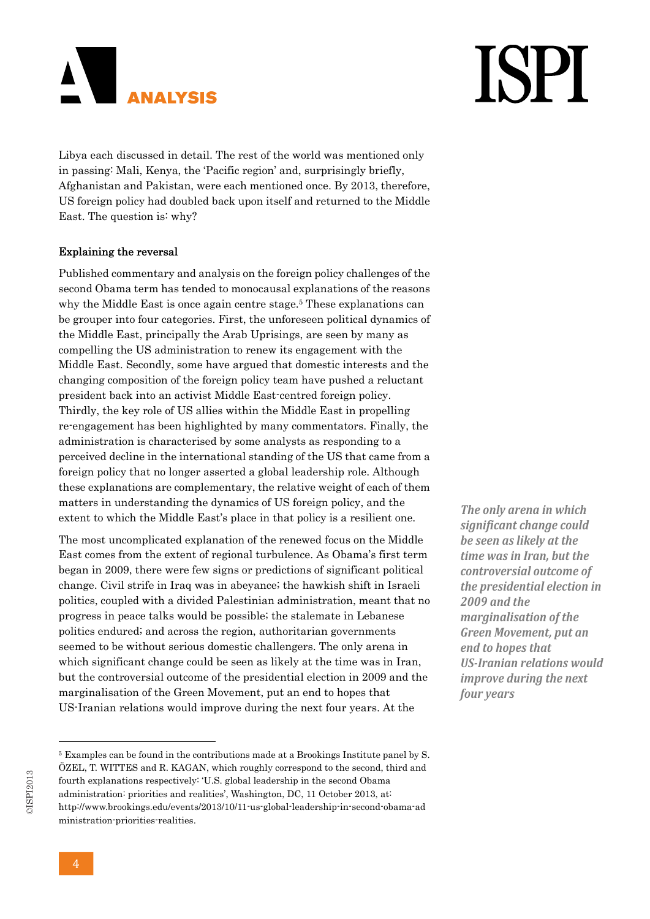

Libya each discussed in detail. The rest of the world was mentioned only in passing: Mali, Kenya, the 'Pacific region' and, surprisingly briefly, Afghanistan and Pakistan, were each mentioned once. By 2013, therefore, US foreign policy had doubled back upon itself and returned to the Middle East. The question is: why?

#### Explaining the reversal

Published commentary and analysis on the foreign policy challenges of the second Obama term has tended to monocausal explanations of the reasons why the Middle East is once again centre stage.<sup>5</sup> These explanations can be grouper into four categories. First, the unforeseen political dynamics of the Middle East, principally the Arab Uprisings, are seen by many as compelling the US administration to renew its engagement with the Middle East. Secondly, some have argued that domestic interests and the changing composition of the foreign policy team have pushed a reluctant president back into an activist Middle East-centred foreign policy. Thirdly, the key role of US allies within the Middle East in propelling re-engagement has been highlighted by many commentators. Finally, the administration is characterised by some analysts as responding to a perceived decline in the international standing of the US that came from a foreign policy that no longer asserted a global leadership role. Although these explanations are complementary, the relative weight of each of them matters in understanding the dynamics of US foreign policy, and the extent to which the Middle East's place in that policy is a resilient one.

The most uncomplicated explanation of the renewed focus on the Middle East comes from the extent of regional turbulence. As Obama's first term began in 2009, there were few signs or predictions of significant political change. Civil strife in Iraq was in abeyance; the hawkish shift in Israeli politics, coupled with a divided Palestinian administration, meant that no progress in peace talks would be possible; the stalemate in Lebanese politics endured; and across the region, authoritarian governments seemed to be without serious domestic challengers. The only arena in which significant change could be seen as likely at the time was in Iran, but the controversial outcome of the presidential election in 2009 and the marginalisation of the Green Movement, put an end to hopes that US-Iranian relations would improve during the next four years. At the

*The only arena in which significant change could be seen as likely at the time was in Iran, but the controversial outcome of the presidential election in 2009 and the marginalisation of the Green Movement, put an end to hopes that US‐Iranian relations would improve during the next four years*

## **ISPI**

<sup>5</sup> Examples can be found in the contributions made at a Brookings Institute panel by S. ÖZEL, T. WITTES and R. KAGAN, which roughly correspond to the second, third and fourth explanations respectively: 'U.S. global leadership in the second Obama administration: priorities and realities', Washington, DC, 11 October 2013, at: http://www.brookings.edu/events/2013/10/11-us-global-leadership-in-second-obama-ad ministration-priorities-realities.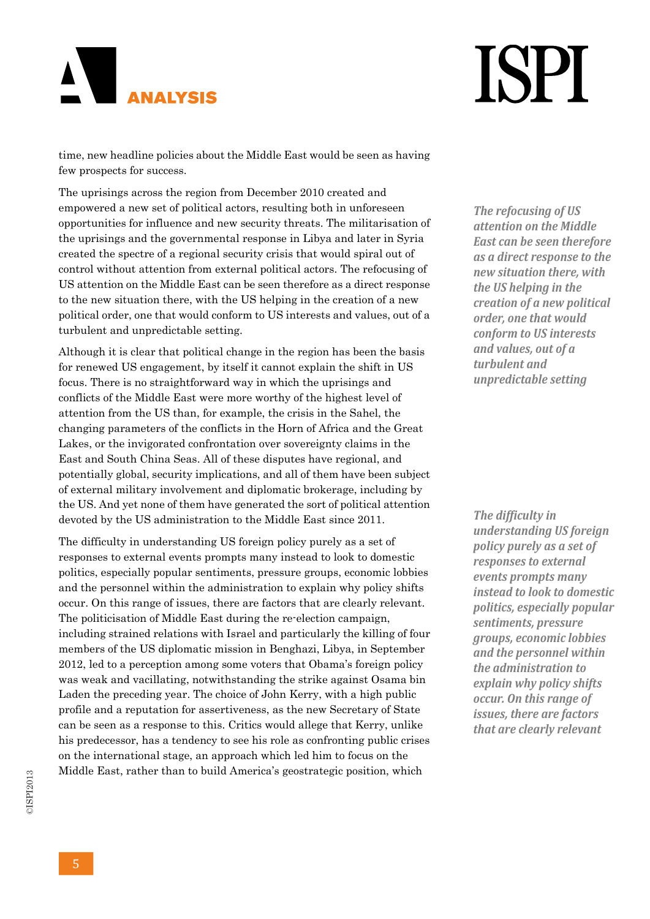### AN I **ANALYSIS**

## **ISPI**

time, new headline policies about the Middle East would be seen as having few prospects for success.

The uprisings across the region from December 2010 created and empowered a new set of political actors, resulting both in unforeseen opportunities for influence and new security threats. The militarisation of the uprisings and the governmental response in Libya and later in Syria created the spectre of a regional security crisis that would spiral out of control without attention from external political actors. The refocusing of US attention on the Middle East can be seen therefore as a direct response to the new situation there, with the US helping in the creation of a new political order, one that would conform to US interests and values, out of a turbulent and unpredictable setting.

Although it is clear that political change in the region has been the basis for renewed US engagement, by itself it cannot explain the shift in US focus. There is no straightforward way in which the uprisings and conflicts of the Middle East were more worthy of the highest level of attention from the US than, for example, the crisis in the Sahel, the changing parameters of the conflicts in the Horn of Africa and the Great Lakes, or the invigorated confrontation over sovereignty claims in the East and South China Seas. All of these disputes have regional, and potentially global, security implications, and all of them have been subject of external military involvement and diplomatic brokerage, including by the US. And yet none of them have generated the sort of political attention devoted by the US administration to the Middle East since 2011.

The difficulty in understanding US foreign policy purely as a set of responses to external events prompts many instead to look to domestic politics, especially popular sentiments, pressure groups, economic lobbies and the personnel within the administration to explain why policy shifts occur. On this range of issues, there are factors that are clearly relevant. The politicisation of Middle East during the re-election campaign, including strained relations with Israel and particularly the killing of four members of the US diplomatic mission in Benghazi, Libya, in September 2012, led to a perception among some voters that Obama's foreign policy was weak and vacillating, notwithstanding the strike against Osama bin Laden the preceding year. The choice of John Kerry, with a high public profile and a reputation for assertiveness, as the new Secretary of State can be seen as a response to this. Critics would allege that Kerry, unlike his predecessor, has a tendency to see his role as confronting public crises on the international stage, an approach which led him to focus on the Middle East, rather than to build America's geostrategic position, which

*The refocusing of US attention on the Middle East can be seen therefore as a direct response to the new situation there, with the US helping in the creation of a new political order, one that would conform to US interests and values, out of a turbulent and unpredictable setting*

*The difficulty in understanding US foreign policy purely as a set of responses to external events prompts many instead to look to domestic politics, especially popular sentiments, pressure groups, economic lobbies and the personnel within the administration to explain why policy shifts occur. On this range of issues, there are factors that are clearly relevant*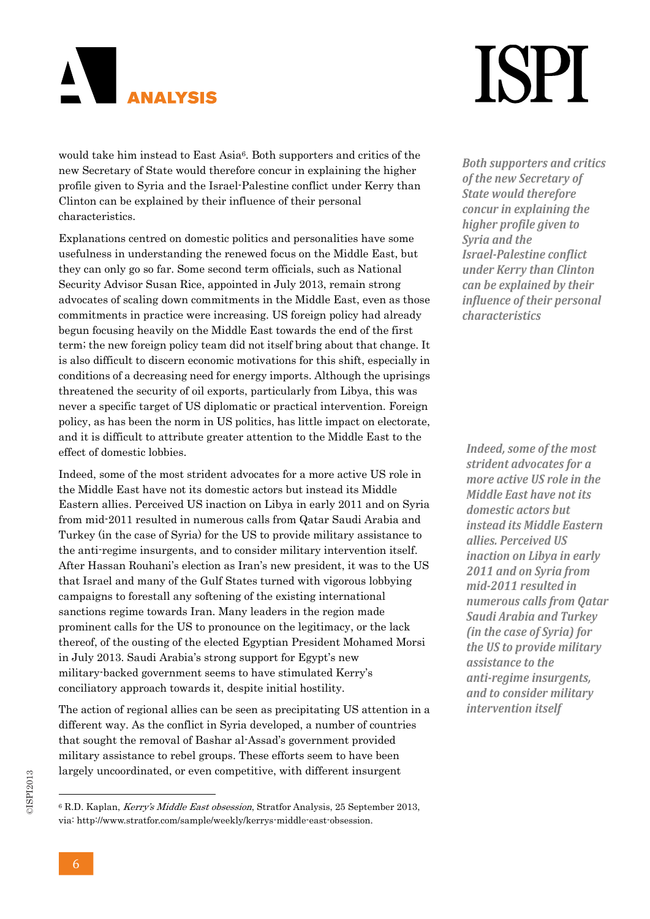

### **ISPI**

would take him instead to East Asia<sup>6</sup>. Both supporters and critics of the new Secretary of State would therefore concur in explaining the higher profile given to Syria and the Israel-Palestine conflict under Kerry than Clinton can be explained by their influence of their personal characteristics.

Explanations centred on domestic politics and personalities have some usefulness in understanding the renewed focus on the Middle East, but they can only go so far. Some second term officials, such as National Security Advisor Susan Rice, appointed in July 2013, remain strong advocates of scaling down commitments in the Middle East, even as those commitments in practice were increasing. US foreign policy had already begun focusing heavily on the Middle East towards the end of the first term; the new foreign policy team did not itself bring about that change. It is also difficult to discern economic motivations for this shift, especially in conditions of a decreasing need for energy imports. Although the uprisings threatened the security of oil exports, particularly from Libya, this was never a specific target of US diplomatic or practical intervention. Foreign policy, as has been the norm in US politics, has little impact on electorate, and it is difficult to attribute greater attention to the Middle East to the effect of domestic lobbies.

Indeed, some of the most strident advocates for a more active US role in the Middle East have not its domestic actors but instead its Middle Eastern allies. Perceived US inaction on Libya in early 2011 and on Syria from mid-2011 resulted in numerous calls from Qatar Saudi Arabia and Turkey (in the case of Syria) for the US to provide military assistance to the anti-regime insurgents, and to consider military intervention itself. After Hassan Rouhani's election as Iran's new president, it was to the US that Israel and many of the Gulf States turned with vigorous lobbying campaigns to forestall any softening of the existing international sanctions regime towards Iran. Many leaders in the region made prominent calls for the US to pronounce on the legitimacy, or the lack thereof, of the ousting of the elected Egyptian President Mohamed Morsi in July 2013. Saudi Arabia's strong support for Egypt's new military-backed government seems to have stimulated Kerry's conciliatory approach towards it, despite initial hostility.

The action of regional allies can be seen as precipitating US attention in a different way. As the conflict in Syria developed, a number of countries that sought the removal of Bashar al-Assad's government provided military assistance to rebel groups. These efforts seem to have been largely uncoordinated, or even competitive, with different insurgent

*Both supporters and critics of the new Secretary of State would therefore concur in explaining the higher profile given to Syria and the Israel‐Palestine conflict under Kerry than Clinton can be explained by their influence of their personal characteristics*

*Indeed, some of the most strident advocates for a more active US role in the Middle East have not its domestic actors but instead its Middle Eastern allies. Perceived US inaction on Libya in early 2011 and on Syria from mid‐2011 resulted in numerous calls from Qatar Saudi Arabia and Turkey (in the case of Syria) for the US to provide military assistance to the anti‐regime insurgents, and to consider military intervention itself*

<sup>6</sup> R.D. Kaplan, Kerry's Middle East obsession, Stratfor Analysis, 25 September 2013, via: http://www.stratfor.com/sample/weekly/kerrys-middle-east-obsession.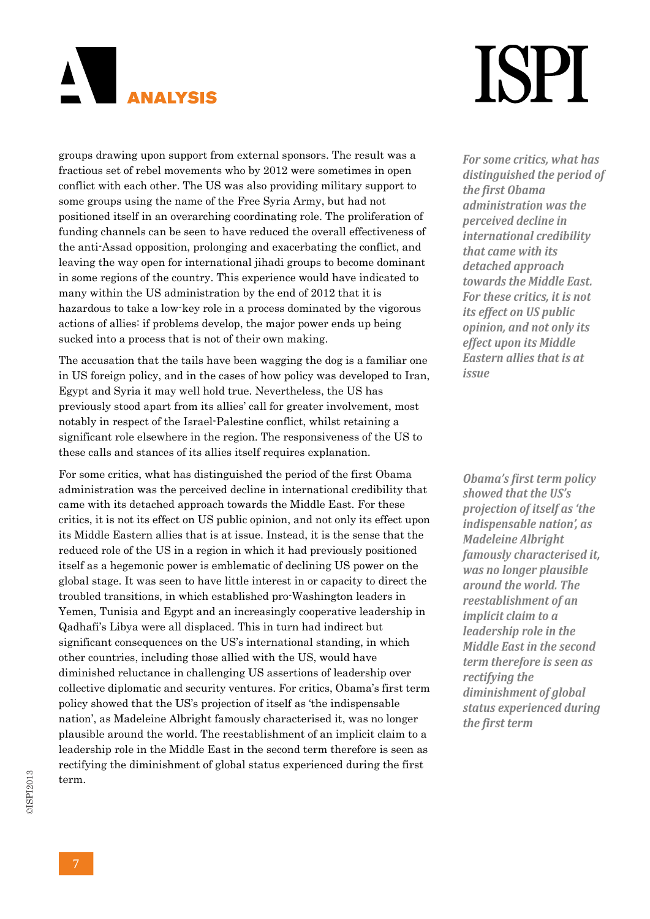

### **TSPT**

groups drawing upon support from external sponsors. The result was a fractious set of rebel movements who by 2012 were sometimes in open conflict with each other. The US was also providing military support to some groups using the name of the Free Syria Army, but had not positioned itself in an overarching coordinating role. The proliferation of funding channels can be seen to have reduced the overall effectiveness of the anti-Assad opposition, prolonging and exacerbating the conflict, and leaving the way open for international jihadi groups to become dominant in some regions of the country. This experience would have indicated to many within the US administration by the end of 2012 that it is hazardous to take a low-key role in a process dominated by the vigorous actions of allies: if problems develop, the major power ends up being sucked into a process that is not of their own making.

The accusation that the tails have been wagging the dog is a familiar one in US foreign policy, and in the cases of how policy was developed to Iran, Egypt and Syria it may well hold true. Nevertheless, the US has previously stood apart from its allies' call for greater involvement, most notably in respect of the Israel-Palestine conflict, whilst retaining a significant role elsewhere in the region. The responsiveness of the US to these calls and stances of its allies itself requires explanation.

For some critics, what has distinguished the period of the first Obama administration was the perceived decline in international credibility that came with its detached approach towards the Middle East. For these critics, it is not its effect on US public opinion, and not only its effect upon its Middle Eastern allies that is at issue. Instead, it is the sense that the reduced role of the US in a region in which it had previously positioned itself as a hegemonic power is emblematic of declining US power on the global stage. It was seen to have little interest in or capacity to direct the troubled transitions, in which established pro-Washington leaders in Yemen, Tunisia and Egypt and an increasingly cooperative leadership in Qadhafi's Libya were all displaced. This in turn had indirect but significant consequences on the US's international standing, in which other countries, including those allied with the US, would have diminished reluctance in challenging US assertions of leadership over collective diplomatic and security ventures. For critics, Obama's first term policy showed that the US's projection of itself as 'the indispensable nation', as Madeleine Albright famously characterised it, was no longer plausible around the world. The reestablishment of an implicit claim to a leadership role in the Middle East in the second term therefore is seen as rectifying the diminishment of global status experienced during the first term.

*For some critics, what has distinguished the period of the first Obama administration was the perceived decline in international credibility that came with its detached approach towards the Middle East. For these critics, it is not its effect on US public opinion, and not only its effect upon its Middle Eastern allies that is at issue*

*Obama's first term policy showed that the US's projection of itself as 'the indispensable nation', as Madeleine Albright famously characterised it, was no longer plausible around the world. The reestablishment of an implicit claim to a leadership role in the Middle East in the second term therefore is seen as rectifying the diminishment of global status experienced during the first term*